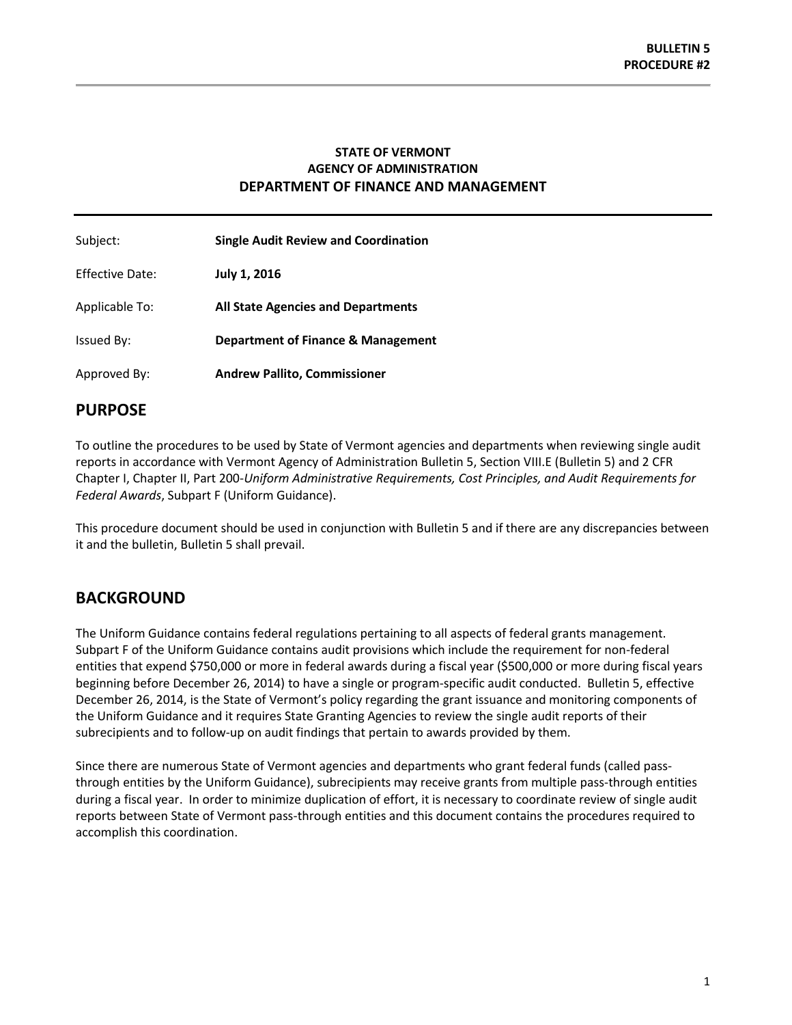## **STATE OF VERMONT AGENCY OF ADMINISTRATION DEPARTMENT OF FINANCE AND MANAGEMENT**

| Subject:               | <b>Single Audit Review and Coordination</b>   |
|------------------------|-----------------------------------------------|
| <b>Effective Date:</b> | July 1, 2016                                  |
| Applicable To:         | <b>All State Agencies and Departments</b>     |
| Issued By:             | <b>Department of Finance &amp; Management</b> |
| Approved By:           | <b>Andrew Pallito, Commissioner</b>           |

## **PURPOSE**

To outline the procedures to be used by State of Vermont agencies and departments when reviewing single audit reports in accordance with Vermont Agency of Administration Bulletin 5, Section VIII.E (Bulletin 5) and 2 CFR Chapter I, Chapter II, Part 200-*Uniform Administrative Requirements, Cost Principles, and Audit Requirements for Federal Awards*, Subpart F (Uniform Guidance).

This procedure document should be used in conjunction with Bulletin 5 and if there are any discrepancies between it and the bulletin, Bulletin 5 shall prevail.

# **BACKGROUND**

The Uniform Guidance contains federal regulations pertaining to all aspects of federal grants management. Subpart F of the Uniform Guidance contains audit provisions which include the requirement for non-federal entities that expend \$750,000 or more in federal awards during a fiscal year (\$500,000 or more during fiscal years beginning before December 26, 2014) to have a single or program-specific audit conducted. Bulletin 5, effective December 26, 2014, is the State of Vermont's policy regarding the grant issuance and monitoring components of the Uniform Guidance and it requires State Granting Agencies to review the single audit reports of their subrecipients and to follow-up on audit findings that pertain to awards provided by them.

Since there are numerous State of Vermont agencies and departments who grant federal funds (called passthrough entities by the Uniform Guidance), subrecipients may receive grants from multiple pass-through entities during a fiscal year. In order to minimize duplication of effort, it is necessary to coordinate review of single audit reports between State of Vermont pass-through entities and this document contains the procedures required to accomplish this coordination.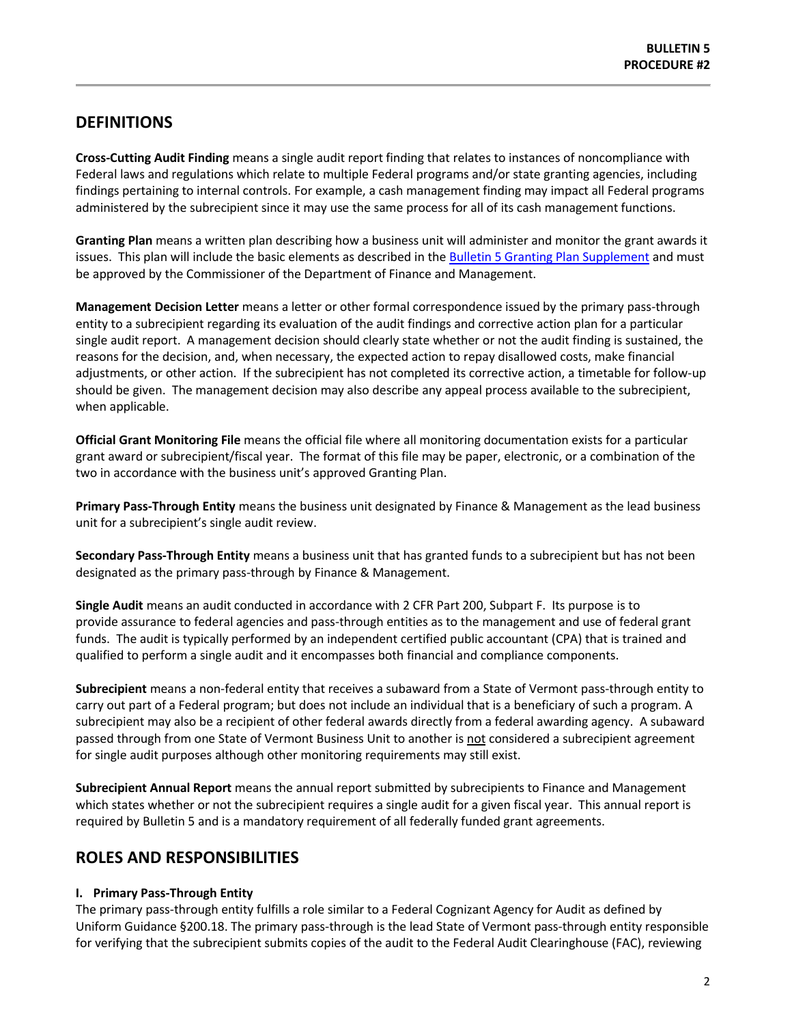# **DEFINITIONS**

**Cross-Cutting Audit Finding** means a single audit report finding that relates to instances of noncompliance with Federal laws and regulations which relate to multiple Federal programs and/or state granting agencies, including findings pertaining to internal controls. For example, a cash management finding may impact all Federal programs administered by the subrecipient since it may use the same process for all of its cash management functions.

**Granting Plan** means a written plan describing how a business unit will administer and monitor the grant awards it issues. This plan will include the basic elements as described in th[e Bulletin 5 Granting Plan Supplement](http://finance.vermont.gov/policies-and-procedures/grant-guidelines-and-procedures) and must be approved by the Commissioner of the Department of Finance and Management.

**Management Decision Letter** means a letter or other formal correspondence issued by the primary pass-through entity to a subrecipient regarding its evaluation of the audit findings and corrective action plan for a particular single audit report. A management decision should clearly state whether or not the audit finding is sustained, the reasons for the decision, and, when necessary, the expected action to repay disallowed costs, make financial adjustments, or other action. If the subrecipient has not completed its corrective action, a timetable for follow-up should be given. The management decision may also describe any appeal process available to the subrecipient, when applicable.

**Official Grant Monitoring File** means the official file where all monitoring documentation exists for a particular grant award or subrecipient/fiscal year. The format of this file may be paper, electronic, or a combination of the two in accordance with the business unit's approved Granting Plan.

**Primary Pass-Through Entity** means the business unit designated by Finance & Management as the lead business unit for a subrecipient's single audit review.

**Secondary Pass-Through Entity** means a business unit that has granted funds to a subrecipient but has not been designated as the primary pass-through by Finance & Management.

**Single Audit** means an audit conducted in accordance with 2 CFR Part 200, Subpart F. Its purpose is to provide [assurance](https://en.wikipedia.org/wiki/Assurance_(accounting)) to federal agencies and pass-through entities as to the management and use of federal grant funds. The audit is typically performed by an independent [certified public accountant](https://en.wikipedia.org/wiki/Certified_public_accountant) (CPA) that is trained and qualified to perform a single audit and it encompasses both financial and [compliance](https://en.wikipedia.org/wiki/Compliance_(regulation)) components.

**Subrecipient** means a non-federal entity that receives a subaward from a State of Vermont pass-through entity to carry out part of a Federal program; but does not include an individual that is a beneficiary of such a program. A subrecipient may also be a recipient of other federal awards directly from a federal awarding agency. A subaward passed through from one State of Vermont Business Unit to another is not considered a subrecipient agreement for single audit purposes although other monitoring requirements may still exist.

**Subrecipient Annual Report** means the annual report submitted by subrecipients to Finance and Management which states whether or not the subrecipient requires a single audit for a given fiscal year. This annual report is required by Bulletin 5 and is a mandatory requirement of all federally funded grant agreements.

# **ROLES AND RESPONSIBILITIES**

#### **I. Primary Pass-Through Entity**

The primary pass-through entity fulfills a role similar to a Federal Cognizant Agency for Audit as defined by Uniform Guidance §200.18. The primary pass-through is the lead State of Vermont pass-through entity responsible for verifying that the subrecipient submits copies of the audit to the Federal Audit Clearinghouse (FAC), reviewing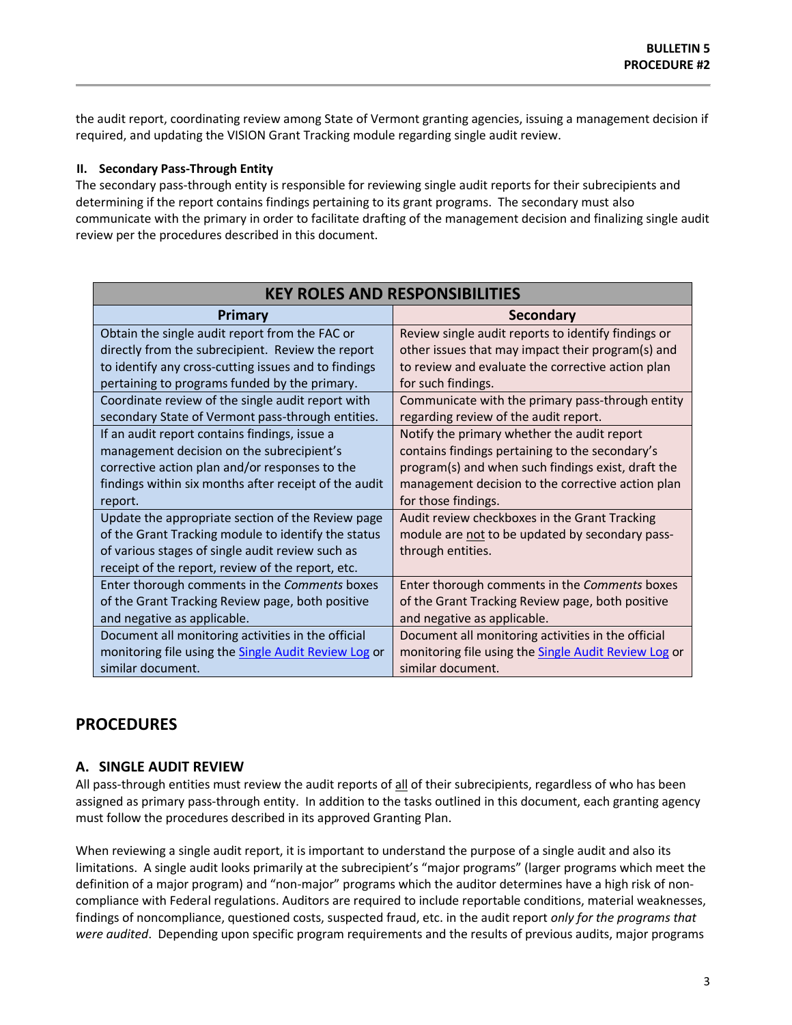the audit report, coordinating review among State of Vermont granting agencies, issuing a management decision if required, and updating the VISION Grant Tracking module regarding single audit review.

#### **II. Secondary Pass-Through Entity**

The secondary pass-through entity is responsible for reviewing single audit reports for their subrecipients and determining if the report contains findings pertaining to its grant programs. The secondary must also communicate with the primary in order to facilitate drafting of the management decision and finalizing single audit review per the procedures described in this document.

| <b>KEY ROLES AND RESPONSIBILITIES</b>                       |                                                      |  |  |
|-------------------------------------------------------------|------------------------------------------------------|--|--|
| Primary                                                     | <b>Secondary</b>                                     |  |  |
| Obtain the single audit report from the FAC or              | Review single audit reports to identify findings or  |  |  |
| directly from the subrecipient. Review the report           | other issues that may impact their program(s) and    |  |  |
| to identify any cross-cutting issues and to findings        | to review and evaluate the corrective action plan    |  |  |
| pertaining to programs funded by the primary.               | for such findings.                                   |  |  |
| Coordinate review of the single audit report with           | Communicate with the primary pass-through entity     |  |  |
| secondary State of Vermont pass-through entities.           | regarding review of the audit report.                |  |  |
| If an audit report contains findings, issue a               | Notify the primary whether the audit report          |  |  |
| management decision on the subrecipient's                   | contains findings pertaining to the secondary's      |  |  |
| corrective action plan and/or responses to the              | program(s) and when such findings exist, draft the   |  |  |
| findings within six months after receipt of the audit       | management decision to the corrective action plan    |  |  |
| report.                                                     | for those findings.                                  |  |  |
| Update the appropriate section of the Review page           | Audit review checkboxes in the Grant Tracking        |  |  |
| of the Grant Tracking module to identify the status         | module are not to be updated by secondary pass-      |  |  |
| of various stages of single audit review such as            | through entities.                                    |  |  |
| receipt of the report, review of the report, etc.           |                                                      |  |  |
| Enter thorough comments in the Comments boxes               | Enter thorough comments in the Comments boxes        |  |  |
| of the Grant Tracking Review page, both positive            | of the Grant Tracking Review page, both positive     |  |  |
| and negative as applicable.                                 | and negative as applicable.                          |  |  |
| Document all monitoring activities in the official          | Document all monitoring activities in the official   |  |  |
| monitoring file using the <b>Single Audit Review Log or</b> | monitoring file using the Single Audit Review Log or |  |  |
| similar document.                                           | similar document.                                    |  |  |

# **PROCEDURES**

## **A. SINGLE AUDIT REVIEW**

All pass-through entities must review the audit reports of all of their subrecipients, regardless of who has been assigned as primary pass-through entity. In addition to the tasks outlined in this document, each granting agency must follow the procedures described in its approved Granting Plan.

When reviewing a single audit report, it is important to understand the purpose of a single audit and also its limitations. A single audit looks primarily at the subrecipient's "major programs" (larger programs which meet the definition of a major program) and "non-major" programs which the auditor determines have a high risk of noncompliance with Federal regulations. Auditors are required to include reportable conditions, material weaknesses, findings of noncompliance, questioned costs, suspected fraud, etc. in the audit report *only for the programs that were audited*. Depending upon specific program requirements and the results of previous audits, major programs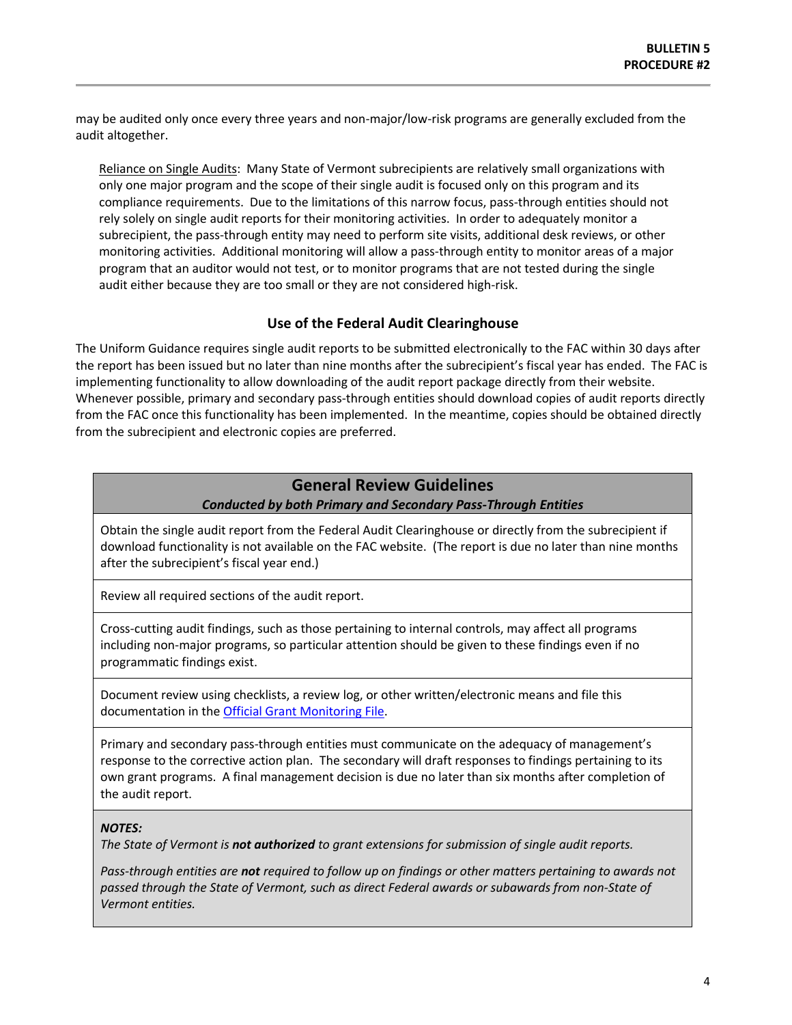may be audited only once every three years and non-major/low-risk programs are generally excluded from the audit altogether.

Reliance on Single Audits: Many State of Vermont subrecipients are relatively small organizations with only one major program and the scope of their single audit is focused only on this program and its compliance requirements. Due to the limitations of this narrow focus, pass-through entities should not rely solely on single audit reports for their monitoring activities. In order to adequately monitor a subrecipient, the pass-through entity may need to perform site visits, additional desk reviews, or other monitoring activities. Additional monitoring will allow a pass-through entity to monitor areas of a major program that an auditor would not test, or to monitor programs that are not tested during the single audit either because they are too small or they are not considered high-risk.

### **Use of the Federal Audit Clearinghouse**

The Uniform Guidance requires single audit reports to be submitted electronically to the FAC within 30 days after the report has been issued but no later than nine months after the subrecipient's fiscal year has ended. The FAC is implementing functionality to allow downloading of the audit report package directly from their website. Whenever possible, primary and secondary pass-through entities should download copies of audit reports directly from the FAC once this functionality has been implemented. In the meantime, copies should be obtained directly from the subrecipient and electronic copies are preferred.

# **General Review Guidelines**

#### *Conducted by both Primary and Secondary Pass-Through Entities*

Obtain the single audit report from the Federal Audit Clearinghouse or directly from the subrecipient if download functionality is not available on the FAC website. (The report is due no later than nine months after the subrecipient's fiscal year end.)

Review all required sections of the audit report.

Cross-cutting audit findings, such as those pertaining to internal controls, may affect all programs including non-major programs, so particular attention should be given to these findings even if no programmatic findings exist.

Document review using checklists, a review log, or other written/electronic means and file this documentation in th[e Official Grant Monitoring File.](http://finance.vermont.gov/sites/finance/files/documents/Pol_Proc/Grants/FIN-B5_Procedure2-Single_Audit_Review.pdf)

Primary and secondary pass-through entities must communicate on the adequacy of management's response to the corrective action plan. The secondary will draft responses to findings pertaining to its own grant programs. A final management decision is due no later than six months after completion of the audit report.

#### *NOTES:*

*The State of Vermont is not authorized to grant extensions for submission of single audit reports.*

*Pass-through entities are not required to follow up on findings or other matters pertaining to awards not passed through the State of Vermont, such as direct Federal awards or subawards from non-State of Vermont entities.*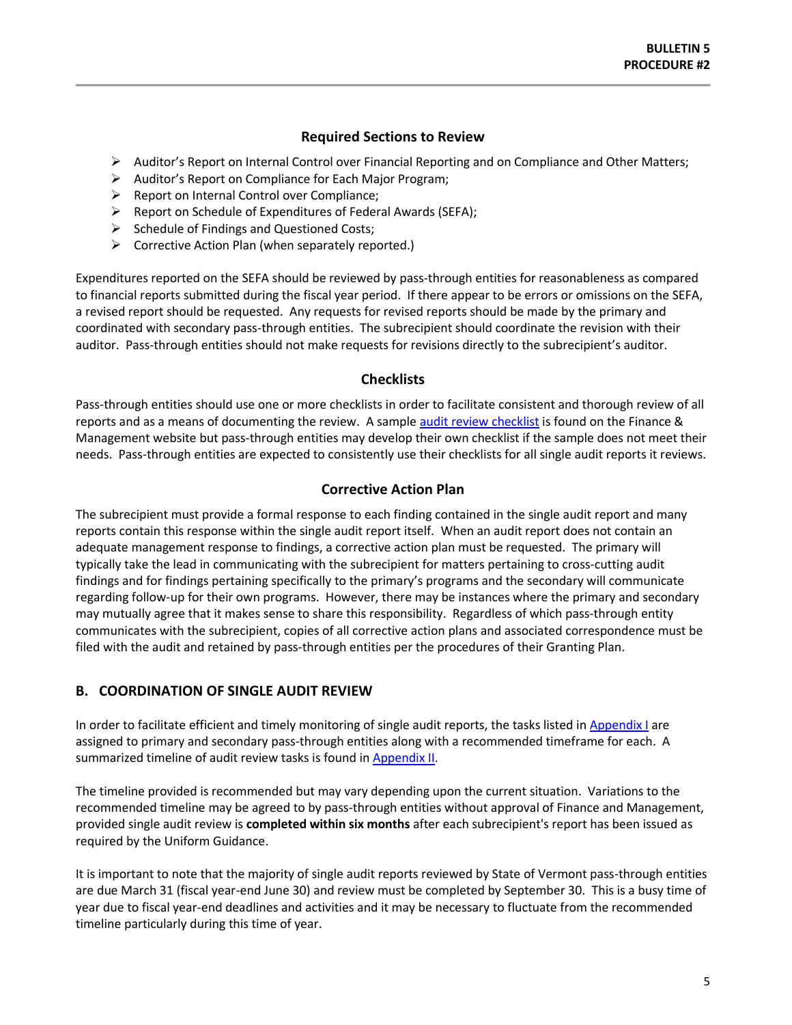### **Required Sections to Review**

- <span id="page-4-0"></span>Auditor's Report on Internal Control over Financial Reporting and on Compliance and Other Matters;
- Auditor's Report on Compliance for Each Major Program;
- $\triangleright$  Report on Internal Control over Compliance;
- $\triangleright$  Report on Schedule of Expenditures of Federal Awards (SEFA);
- $\triangleright$  Schedule of Findings and Questioned Costs;
- $\triangleright$  Corrective Action Plan (when separately reported.)

Expenditures reported on the SEFA should be reviewed by pass-through entities for reasonableness as compared to financial reports submitted during the fiscal year period. If there appear to be errors or omissions on the SEFA, a revised report should be requested. Any requests for revised reports should be made by the primary and coordinated with secondary pass-through entities. The subrecipient should coordinate the revision with their auditor. Pass-through entities should not make requests for revisions directly to the subrecipient's auditor.

#### **Checklists**

Pass-through entities should use one or more checklists in order to facilitate consistent and thorough review of all reports and as a means of documenting the review. A sampl[e audit review checklist](http://finance.vermont.gov/policies-and-procedures/grant-guidelines-and-procedures) is found on the Finance & Management website but pass-through entities may develop their own checklist if the sample does not meet their needs. Pass-through entities are expected to consistently use their checklists for all single audit reports it reviews.

#### **Corrective Action Plan**

The subrecipient must provide a formal response to each finding contained in the single audit report and many reports contain this response within the single audit report itself. When an audit report does not contain an adequate management response to findings, a corrective action plan must be requested. The primary will typically take the lead in communicating with the subrecipient for matters pertaining to cross-cutting audit findings and for findings pertaining specifically to the primary's programs and the secondary will communicate regarding follow-up for their own programs. However, there may be instances where the primary and secondary may mutually agree that it makes sense to share this responsibility. Regardless of which pass-through entity communicates with the subrecipient, copies of all corrective action plans and associated correspondence must be filed with the audit and retained by pass-through entities per the procedures of their Granting Plan.

## **B. COORDINATION OF SINGLE AUDIT REVIEW**

In order to facilitate efficient and timely monitoring of single audit reports, the tasks listed in [Appendix I](#page-7-0) are assigned to primary and secondary pass-through entities along with a recommended timeframe for each. A summarized timeline of audit review tasks is found in [Appendix II.](#page-12-0)

The timeline provided is recommended but may vary depending upon the current situation. Variations to the recommended timeline may be agreed to by pass-through entities without approval of Finance and Management, provided single audit review is **completed within six months** after each subrecipient's report has been issued as required by the Uniform Guidance.

It is important to note that the majority of single audit reports reviewed by State of Vermont pass-through entities are due March 31 (fiscal year-end June 30) and review must be completed by September 30. This is a busy time of year due to fiscal year-end deadlines and activities and it may be necessary to fluctuate from the recommended timeline particularly during this time of year.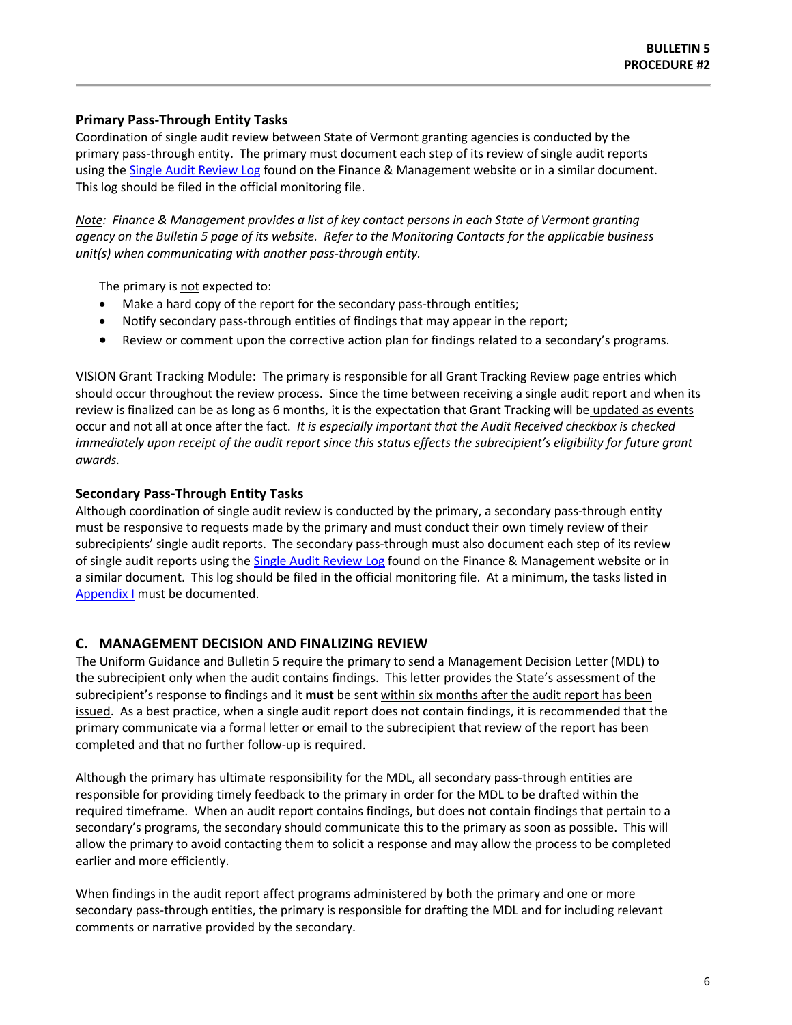### **Primary Pass-Through Entity Tasks**

Coordination of single audit review between State of Vermont granting agencies is conducted by the primary pass-through entity. The primary must document each step of its review of single audit reports using the [Single Audit Review Log](http://finance.vermont.gov/policies-and-procedures/grant-guidelines-and-procedures) found on the Finance & Management website or in a similar document. This log should be filed in the official monitoring file.

*Note: Finance & Management provides a list of key contact persons in each State of Vermont granting agency on the Bulletin 5 page of its website. Refer to the Monitoring Contacts for the applicable business unit(s) when communicating with another pass-through entity.*

The primary is not expected to:

- Make a hard copy of the report for the secondary pass-through entities;
- Notify secondary pass-through entities of findings that may appear in the report;
- Review or comment upon the corrective action plan for findings related to a secondary's programs.

VISION Grant Tracking Module: The primary is responsible for all Grant Tracking Review page entries which should occur throughout the review process. Since the time between receiving a single audit report and when its review is finalized can be as long as 6 months, it is the expectation that Grant Tracking will be updated as events occur and not all at once after the fact. *It is especially important that the Audit Received checkbox is checked immediately upon receipt of the audit report since this status effects the subrecipient's eligibility for future grant awards.*

#### **Secondary Pass-Through Entity Tasks**

Although coordination of single audit review is conducted by the primary, a secondary pass-through entity must be responsive to requests made by the primary and must conduct their own timely review of their subrecipients' single audit reports. The secondary pass-through must also document each step of its review of single audit reports using the [Single Audit Review Log](http://finance.vermont.gov/policies-and-procedures/grant-guidelines-and-procedures) found on the Finance & Management website or in a similar document. This log should be filed in the official monitoring file. At a minimum, the tasks listed in [Appendix I](#page-7-0) must be documented.

#### **C. MANAGEMENT DECISION AND FINALIZING REVIEW**

The Uniform Guidance and Bulletin 5 require the primary to send a Management Decision Letter (MDL) to the subrecipient only when the audit contains findings. This letter provides the State's assessment of the subrecipient's response to findings and it **must** be sent within six months after the audit report has been issued. As a best practice, when a single audit report does not contain findings, it is recommended that the primary communicate via a formal letter or email to the subrecipient that review of the report has been completed and that no further follow-up is required.

Although the primary has ultimate responsibility for the MDL, all secondary pass-through entities are responsible for providing timely feedback to the primary in order for the MDL to be drafted within the required timeframe. When an audit report contains findings, but does not contain findings that pertain to a secondary's programs, the secondary should communicate this to the primary as soon as possible. This will allow the primary to avoid contacting them to solicit a response and may allow the process to be completed earlier and more efficiently.

When findings in the audit report affect programs administered by both the primary and one or more secondary pass-through entities, the primary is responsible for drafting the MDL and for including relevant comments or narrative provided by the secondary.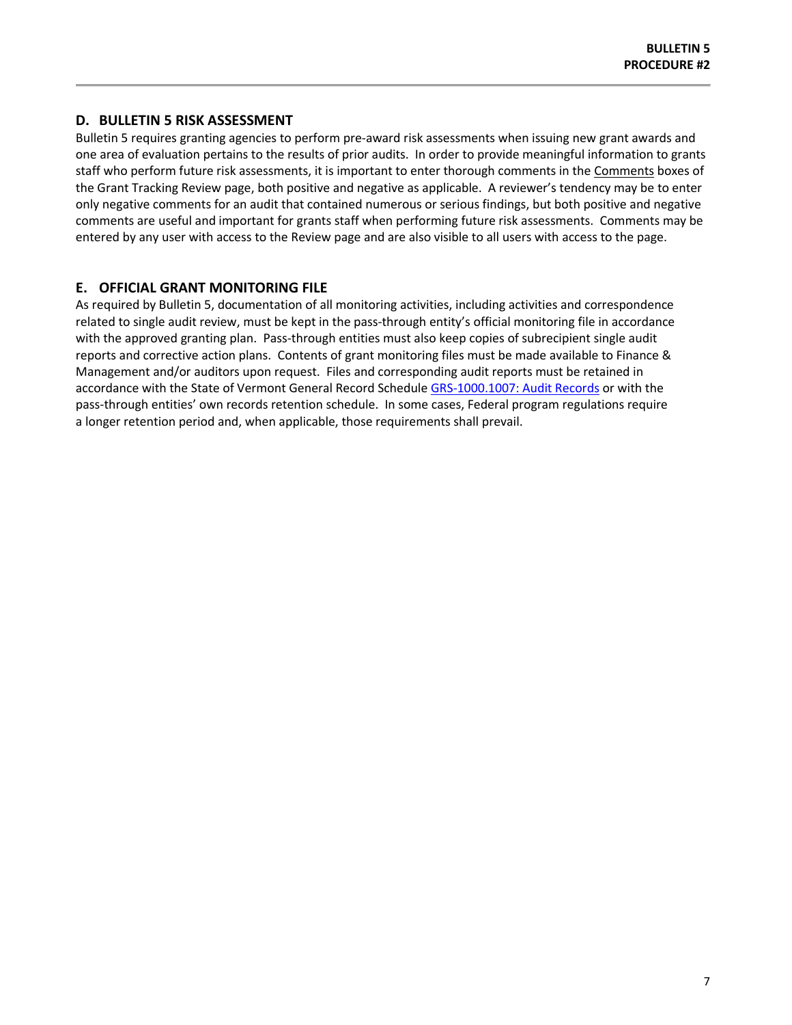## **D. BULLETIN 5 RISK ASSESSMENT**

Bulletin 5 requires granting agencies to perform pre-award risk assessments when issuing new grant awards and one area of evaluation pertains to the results of prior audits. In order to provide meaningful information to grants staff who perform future risk assessments, it is important to enter thorough comments in the Comments boxes of the Grant Tracking Review page, both positive and negative as applicable. A reviewer's tendency may be to enter only negative comments for an audit that contained numerous or serious findings, but both positive and negative comments are useful and important for grants staff when performing future risk assessments. Comments may be entered by any user with access to the Review page and are also visible to all users with access to the page.

## **E. OFFICIAL GRANT MONITORING FILE**

As required by Bulletin 5, documentation of all monitoring activities, including activities and correspondence related to single audit review, must be kept in the pass-through entity's official monitoring file in accordance with the approved granting plan. Pass-through entities must also keep copies of subrecipient single audit reports and corrective action plans. Contents of grant monitoring files must be made available to Finance & Management and/or auditors upon request. Files and corresponding audit reports must be retained in accordance with the State of Vermont General Record Schedule [GRS-1000.1007: Audit Records](https://www.sec.state.vt.us/archives-records/records-management/records-retention/general-record-schedules.aspx) or with the pass-through entities' own records retention schedule. In some cases, Federal program regulations require a longer retention period and, when applicable, those requirements shall prevail.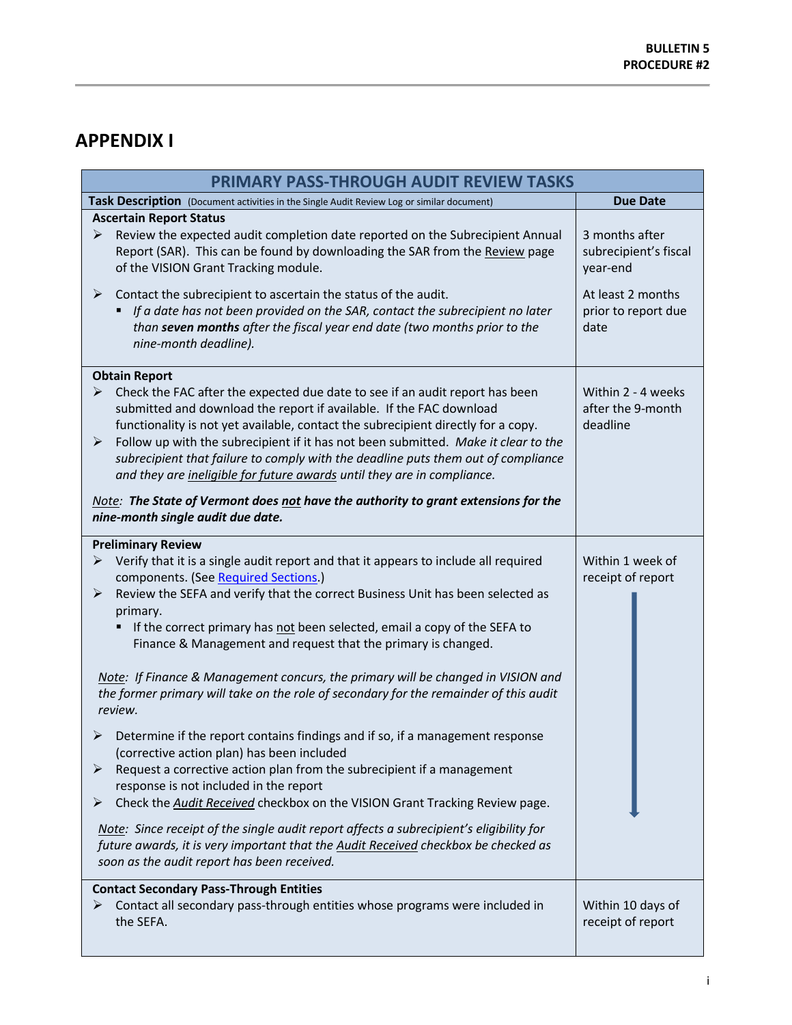# <span id="page-7-0"></span>**APPENDIX I**

| <b>PRIMARY PASS-THROUGH AUDIT REVIEW TASKS</b>                                                                                             |                                                                                                                                                                                                                                                                                                                                                                                                                                                                                                |                                                     |  |
|--------------------------------------------------------------------------------------------------------------------------------------------|------------------------------------------------------------------------------------------------------------------------------------------------------------------------------------------------------------------------------------------------------------------------------------------------------------------------------------------------------------------------------------------------------------------------------------------------------------------------------------------------|-----------------------------------------------------|--|
|                                                                                                                                            | Task Description (Document activities in the Single Audit Review Log or similar document)                                                                                                                                                                                                                                                                                                                                                                                                      | <b>Due Date</b>                                     |  |
| ➤                                                                                                                                          | <b>Ascertain Report Status</b><br>Review the expected audit completion date reported on the Subrecipient Annual<br>Report (SAR). This can be found by downloading the SAR from the Review page<br>of the VISION Grant Tracking module.                                                                                                                                                                                                                                                         | 3 months after<br>subrecipient's fiscal<br>year-end |  |
| ➤                                                                                                                                          | Contact the subrecipient to ascertain the status of the audit.<br>If a date has not been provided on the SAR, contact the subrecipient no later<br>than seven months after the fiscal year end date (two months prior to the<br>nine-month deadline).                                                                                                                                                                                                                                          | At least 2 months<br>prior to report due<br>date    |  |
|                                                                                                                                            | <b>Obtain Report</b>                                                                                                                                                                                                                                                                                                                                                                                                                                                                           |                                                     |  |
| ➤<br>➤                                                                                                                                     | Check the FAC after the expected due date to see if an audit report has been<br>submitted and download the report if available. If the FAC download<br>functionality is not yet available, contact the subrecipient directly for a copy.<br>Follow up with the subrecipient if it has not been submitted. Make it clear to the<br>subrecipient that failure to comply with the deadline puts them out of compliance<br>and they are ineligible for future awards until they are in compliance. | Within 2 - 4 weeks<br>after the 9-month<br>deadline |  |
|                                                                                                                                            | Note: The State of Vermont does not have the authority to grant extensions for the<br>nine-month single audit due date.                                                                                                                                                                                                                                                                                                                                                                        |                                                     |  |
|                                                                                                                                            | <b>Preliminary Review</b>                                                                                                                                                                                                                                                                                                                                                                                                                                                                      |                                                     |  |
| ⋗                                                                                                                                          | Verify that it is a single audit report and that it appears to include all required                                                                                                                                                                                                                                                                                                                                                                                                            | Within 1 week of                                    |  |
| ➤                                                                                                                                          | components. (See Required Sections.)<br>Review the SEFA and verify that the correct Business Unit has been selected as<br>primary.                                                                                                                                                                                                                                                                                                                                                             | receipt of report                                   |  |
|                                                                                                                                            | If the correct primary has not been selected, email a copy of the SEFA to<br>Finance & Management and request that the primary is changed.                                                                                                                                                                                                                                                                                                                                                     |                                                     |  |
|                                                                                                                                            | Note: If Finance & Management concurs, the primary will be changed in VISION and<br>the former primary will take on the role of secondary for the remainder of this audit<br>review.                                                                                                                                                                                                                                                                                                           |                                                     |  |
| ⋗                                                                                                                                          | Determine if the report contains findings and if so, if a management response<br>(corrective action plan) has been included                                                                                                                                                                                                                                                                                                                                                                    |                                                     |  |
| ➤<br>➤                                                                                                                                     | Request a corrective action plan from the subrecipient if a management<br>response is not included in the report<br>Check the Audit Received checkbox on the VISION Grant Tracking Review page.                                                                                                                                                                                                                                                                                                |                                                     |  |
|                                                                                                                                            | Note: Since receipt of the single audit report affects a subrecipient's eligibility for<br>future awards, it is very important that the Audit Received checkbox be checked as<br>soon as the audit report has been received.                                                                                                                                                                                                                                                                   |                                                     |  |
| <b>Contact Secondary Pass-Through Entities</b><br>Contact all secondary pass-through entities whose programs were included in<br>the SEFA. |                                                                                                                                                                                                                                                                                                                                                                                                                                                                                                | Within 10 days of<br>receipt of report              |  |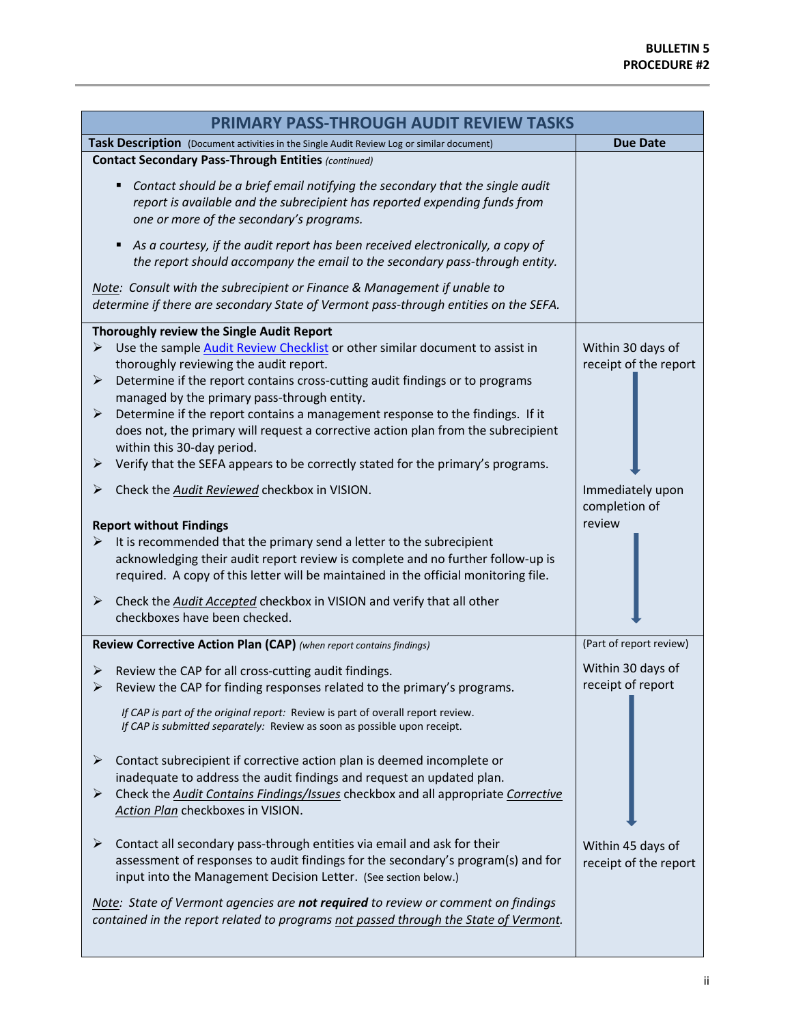| <b>PRIMARY PASS-THROUGH AUDIT REVIEW TASKS</b>                                                                                                                                                                                                                                                                                                                                                                                                                                                                        |                                             |  |  |
|-----------------------------------------------------------------------------------------------------------------------------------------------------------------------------------------------------------------------------------------------------------------------------------------------------------------------------------------------------------------------------------------------------------------------------------------------------------------------------------------------------------------------|---------------------------------------------|--|--|
| Task Description (Document activities in the Single Audit Review Log or similar document)                                                                                                                                                                                                                                                                                                                                                                                                                             | <b>Due Date</b>                             |  |  |
| <b>Contact Secondary Pass-Through Entities (continued)</b>                                                                                                                                                                                                                                                                                                                                                                                                                                                            |                                             |  |  |
| Contact should be a brief email notifying the secondary that the single audit<br>٠<br>report is available and the subrecipient has reported expending funds from<br>one or more of the secondary's programs.                                                                                                                                                                                                                                                                                                          |                                             |  |  |
| As a courtesy, if the audit report has been received electronically, a copy of<br>٠<br>the report should accompany the email to the secondary pass-through entity.                                                                                                                                                                                                                                                                                                                                                    |                                             |  |  |
| Note: Consult with the subrecipient or Finance & Management if unable to<br>determine if there are secondary State of Vermont pass-through entities on the SEFA.                                                                                                                                                                                                                                                                                                                                                      |                                             |  |  |
| Thoroughly review the Single Audit Report<br>Use the sample Audit Review Checklist or other similar document to assist in<br>➤<br>thoroughly reviewing the audit report.<br>Determine if the report contains cross-cutting audit findings or to programs<br>➤<br>managed by the primary pass-through entity.<br>Determine if the report contains a management response to the findings. If it<br>➤<br>does not, the primary will request a corrective action plan from the subrecipient<br>within this 30-day period. | Within 30 days of<br>receipt of the report  |  |  |
| Verify that the SEFA appears to be correctly stated for the primary's programs.<br>➤                                                                                                                                                                                                                                                                                                                                                                                                                                  |                                             |  |  |
| Check the Audit Reviewed checkbox in VISION.<br>➤<br><b>Report without Findings</b>                                                                                                                                                                                                                                                                                                                                                                                                                                   | Immediately upon<br>completion of<br>review |  |  |
| It is recommended that the primary send a letter to the subrecipient<br>➤<br>acknowledging their audit report review is complete and no further follow-up is<br>required. A copy of this letter will be maintained in the official monitoring file.                                                                                                                                                                                                                                                                   |                                             |  |  |
| Check the Audit Accepted checkbox in VISION and verify that all other<br>➤<br>checkboxes have been checked.                                                                                                                                                                                                                                                                                                                                                                                                           |                                             |  |  |
| Review Corrective Action Plan (CAP) (when report contains findings)                                                                                                                                                                                                                                                                                                                                                                                                                                                   | (Part of report review)                     |  |  |
| Review the CAP for all cross-cutting audit findings.<br>➤<br>Review the CAP for finding responses related to the primary's programs.<br>If CAP is part of the original report: Review is part of overall report review.<br>If CAP is submitted separately: Review as soon as possible upon receipt.                                                                                                                                                                                                                   | Within 30 days of<br>receipt of report      |  |  |
| Contact subrecipient if corrective action plan is deemed incomplete or<br>➤<br>inadequate to address the audit findings and request an updated plan.<br>Check the <b>Audit Contains Findings/Issues</b> checkbox and all appropriate Corrective<br>➤<br>Action Plan checkboxes in VISION.                                                                                                                                                                                                                             |                                             |  |  |
| Contact all secondary pass-through entities via email and ask for their<br>➤<br>assessment of responses to audit findings for the secondary's program(s) and for<br>input into the Management Decision Letter. (See section below.)                                                                                                                                                                                                                                                                                   | Within 45 days of<br>receipt of the report  |  |  |
| Note: State of Vermont agencies are not required to review or comment on findings<br>contained in the report related to programs not passed through the State of Vermont.                                                                                                                                                                                                                                                                                                                                             |                                             |  |  |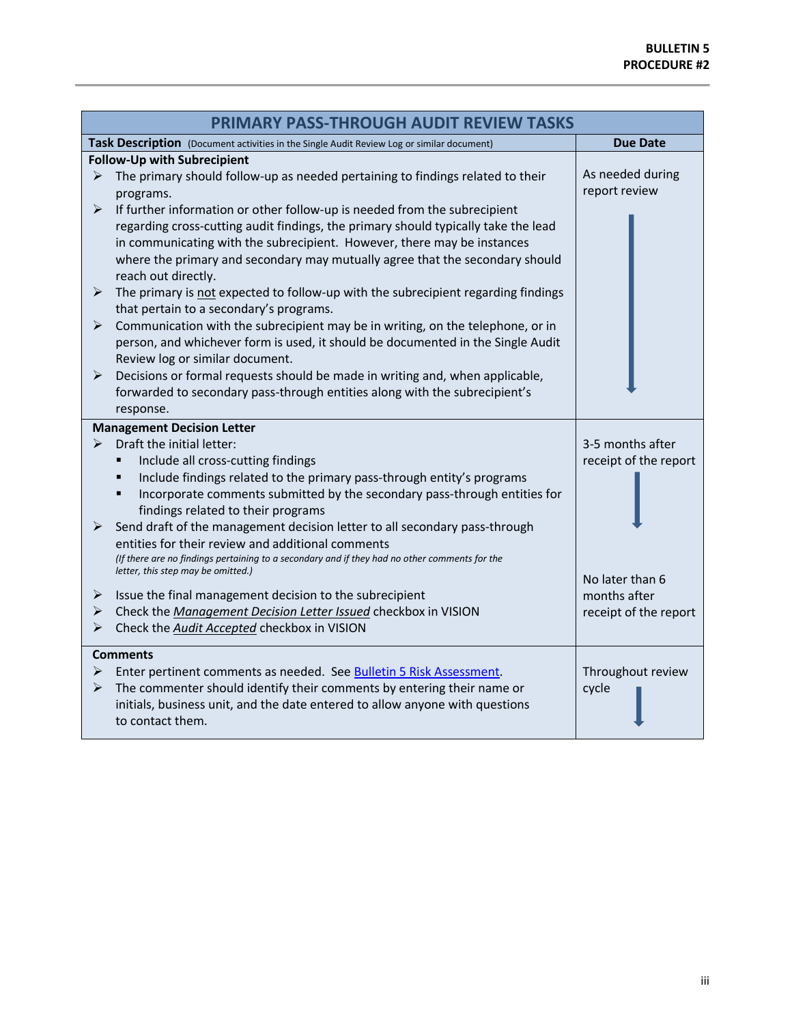| <b>PRIMARY PASS-THROUGH AUDIT REVIEW TASKS</b> |                                                                                                                                                                                                                                                                      |                                   |  |
|------------------------------------------------|----------------------------------------------------------------------------------------------------------------------------------------------------------------------------------------------------------------------------------------------------------------------|-----------------------------------|--|
|                                                | Task Description (Document activities in the Single Audit Review Log or similar document)                                                                                                                                                                            | <b>Due Date</b>                   |  |
|                                                | <b>Follow-Up with Subrecipient</b>                                                                                                                                                                                                                                   |                                   |  |
| ➤<br>➤                                         | The primary should follow-up as needed pertaining to findings related to their<br>programs.<br>If further information or other follow-up is needed from the subrecipient                                                                                             | As needed during<br>report review |  |
|                                                | regarding cross-cutting audit findings, the primary should typically take the lead<br>in communicating with the subrecipient. However, there may be instances<br>where the primary and secondary may mutually agree that the secondary should<br>reach out directly. |                                   |  |
| ➤                                              | The primary is not expected to follow-up with the subrecipient regarding findings<br>that pertain to a secondary's programs.                                                                                                                                         |                                   |  |
| ➤                                              | Communication with the subrecipient may be in writing, on the telephone, or in<br>person, and whichever form is used, it should be documented in the Single Audit<br>Review log or similar document.                                                                 |                                   |  |
| ➤                                              | Decisions or formal requests should be made in writing and, when applicable,<br>forwarded to secondary pass-through entities along with the subrecipient's<br>response.                                                                                              |                                   |  |
|                                                | <b>Management Decision Letter</b>                                                                                                                                                                                                                                    |                                   |  |
| ≻                                              | Draft the initial letter:                                                                                                                                                                                                                                            | 3-5 months after                  |  |
|                                                | Include all cross-cutting findings                                                                                                                                                                                                                                   | receipt of the report             |  |
|                                                | Include findings related to the primary pass-through entity's programs<br>п                                                                                                                                                                                          |                                   |  |
|                                                | Incorporate comments submitted by the secondary pass-through entities for<br>п<br>findings related to their programs                                                                                                                                                 |                                   |  |
| ➤                                              | Send draft of the management decision letter to all secondary pass-through                                                                                                                                                                                           |                                   |  |
|                                                | entities for their review and additional comments<br>(If there are no findings pertaining to a secondary and if they had no other comments for the                                                                                                                   |                                   |  |
|                                                | letter, this step may be omitted.)                                                                                                                                                                                                                                   | No later than 6                   |  |
| ⋗                                              | Issue the final management decision to the subrecipient                                                                                                                                                                                                              | months after                      |  |
| ➤                                              | Check the Management Decision Letter Issued checkbox in VISION                                                                                                                                                                                                       | receipt of the report             |  |
| ➤                                              | Check the Audit Accepted checkbox in VISION                                                                                                                                                                                                                          |                                   |  |
|                                                | <b>Comments</b>                                                                                                                                                                                                                                                      |                                   |  |
| ➤                                              | Enter pertinent comments as needed. See Bulletin 5 Risk Assessment.                                                                                                                                                                                                  | Throughout review                 |  |
| ➤                                              | The commenter should identify their comments by entering their name or<br>initials, business unit, and the date entered to allow anyone with questions<br>to contact them.                                                                                           | cycle                             |  |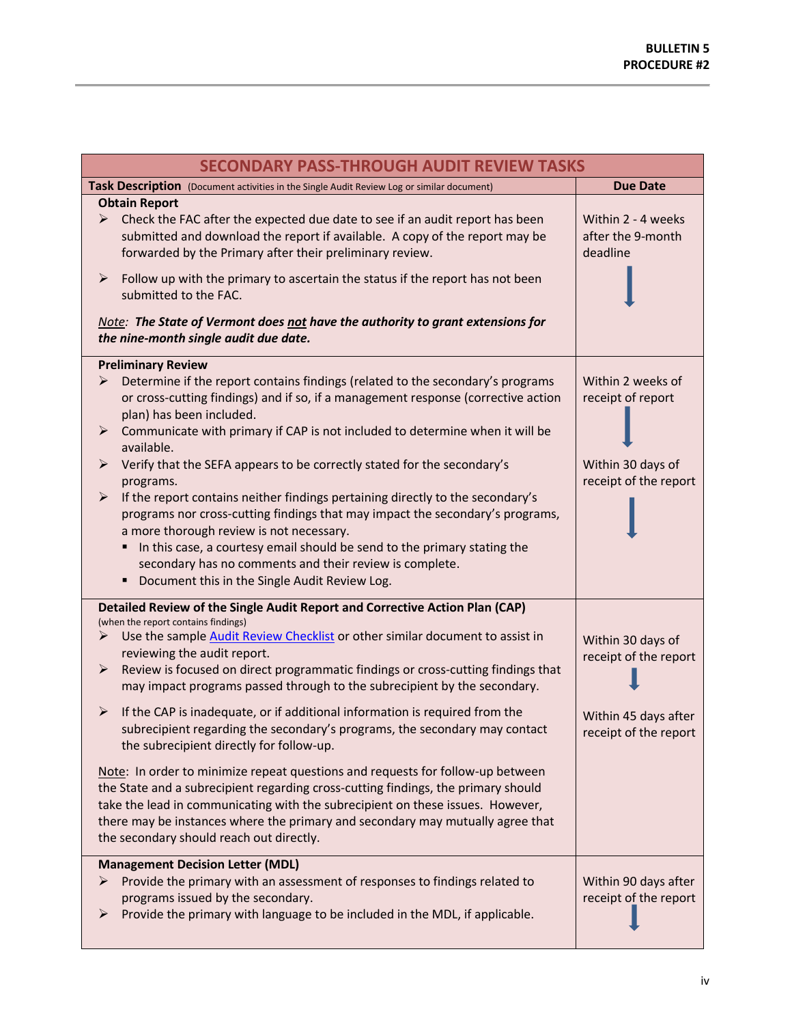| <b>SECONDARY PASS-THROUGH AUDIT REVIEW TASKS</b>                                                                                                                                                                                                                                                                                                                                                                   |                                                     |  |  |
|--------------------------------------------------------------------------------------------------------------------------------------------------------------------------------------------------------------------------------------------------------------------------------------------------------------------------------------------------------------------------------------------------------------------|-----------------------------------------------------|--|--|
| Task Description (Document activities in the Single Audit Review Log or similar document)                                                                                                                                                                                                                                                                                                                          | <b>Due Date</b>                                     |  |  |
| <b>Obtain Report</b><br>Check the FAC after the expected due date to see if an audit report has been<br>➤<br>submitted and download the report if available. A copy of the report may be<br>forwarded by the Primary after their preliminary review.<br>Follow up with the primary to ascertain the status if the report has not been<br>➤                                                                         | Within 2 - 4 weeks<br>after the 9-month<br>deadline |  |  |
| submitted to the FAC.<br>Note: The State of Vermont does not have the authority to grant extensions for<br>the nine-month single audit due date.                                                                                                                                                                                                                                                                   |                                                     |  |  |
| <b>Preliminary Review</b>                                                                                                                                                                                                                                                                                                                                                                                          |                                                     |  |  |
| Determine if the report contains findings (related to the secondary's programs<br>➤<br>or cross-cutting findings) and if so, if a management response (corrective action<br>plan) has been included.<br>Communicate with primary if CAP is not included to determine when it will be<br>➤<br>available.                                                                                                            | Within 2 weeks of<br>receipt of report              |  |  |
| Verify that the SEFA appears to be correctly stated for the secondary's<br>➤<br>programs.                                                                                                                                                                                                                                                                                                                          | Within 30 days of<br>receipt of the report          |  |  |
| If the report contains neither findings pertaining directly to the secondary's<br>➤<br>programs nor cross-cutting findings that may impact the secondary's programs,<br>a more thorough review is not necessary.<br>In this case, a courtesy email should be send to the primary stating the<br>٠<br>secondary has no comments and their review is complete.<br>Document this in the Single Audit Review Log.<br>٠ |                                                     |  |  |
| Detailed Review of the Single Audit Report and Corrective Action Plan (CAP)                                                                                                                                                                                                                                                                                                                                        |                                                     |  |  |
| (when the report contains findings)<br>Use the sample Audit Review Checklist or other similar document to assist in<br>➤<br>reviewing the audit report.<br>Review is focused on direct programmatic findings or cross-cutting findings that<br>➤<br>may impact programs passed through to the subrecipient by the secondary.                                                                                       | Within 30 days of<br>receipt of the report          |  |  |
| $\blacktriangleright$<br>If the CAP is inadequate, or if additional information is required from the<br>subrecipient regarding the secondary's programs, the secondary may contact<br>the subrecipient directly for follow-up.                                                                                                                                                                                     | Within 45 days after<br>receipt of the report       |  |  |
| Note: In order to minimize repeat questions and requests for follow-up between<br>the State and a subrecipient regarding cross-cutting findings, the primary should<br>take the lead in communicating with the subrecipient on these issues. However,<br>there may be instances where the primary and secondary may mutually agree that<br>the secondary should reach out directly.                                |                                                     |  |  |
| <b>Management Decision Letter (MDL)</b><br>Provide the primary with an assessment of responses to findings related to<br>➤<br>programs issued by the secondary.<br>Provide the primary with language to be included in the MDL, if applicable.<br>➤                                                                                                                                                                | Within 90 days after<br>receipt of the report       |  |  |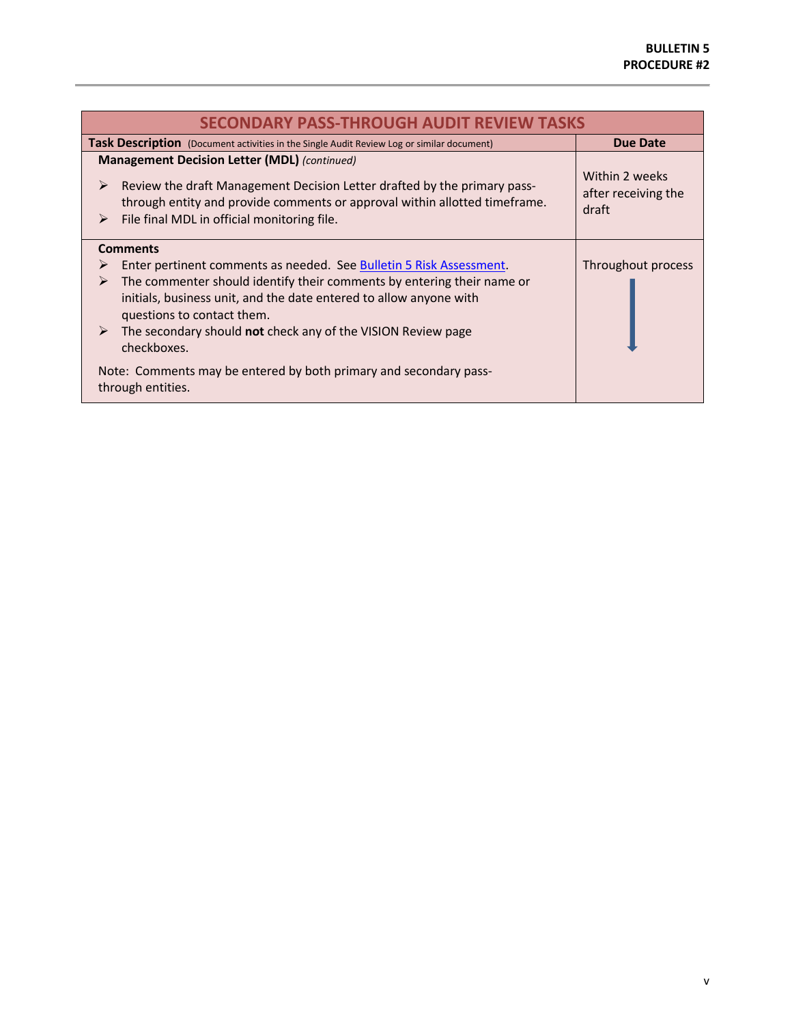| <b>SECONDARY PASS-THROUGH AUDIT REVIEW TASKS</b>                                                                                                                                                                                                                                                                                                                                                                                                             |                                                |  |  |
|--------------------------------------------------------------------------------------------------------------------------------------------------------------------------------------------------------------------------------------------------------------------------------------------------------------------------------------------------------------------------------------------------------------------------------------------------------------|------------------------------------------------|--|--|
| <b>Due Date</b><br><b>Task Description</b> (Document activities in the Single Audit Review Log or similar document)                                                                                                                                                                                                                                                                                                                                          |                                                |  |  |
| <b>Management Decision Letter (MDL)</b> (continued)<br>Review the draft Management Decision Letter drafted by the primary pass-<br>➤<br>through entity and provide comments or approval within allotted timeframe.<br>File final MDL in official monitoring file.<br>➤                                                                                                                                                                                       | Within 2 weeks<br>after receiving the<br>draft |  |  |
| <b>Comments</b><br>Enter pertinent comments as needed. See Bulletin 5 Risk Assessment.<br>⋗<br>The commenter should identify their comments by entering their name or<br>➤<br>initials, business unit, and the date entered to allow anyone with<br>questions to contact them.<br>The secondary should not check any of the VISION Review page<br>➤<br>checkboxes.<br>Note: Comments may be entered by both primary and secondary pass-<br>through entities. | Throughout process                             |  |  |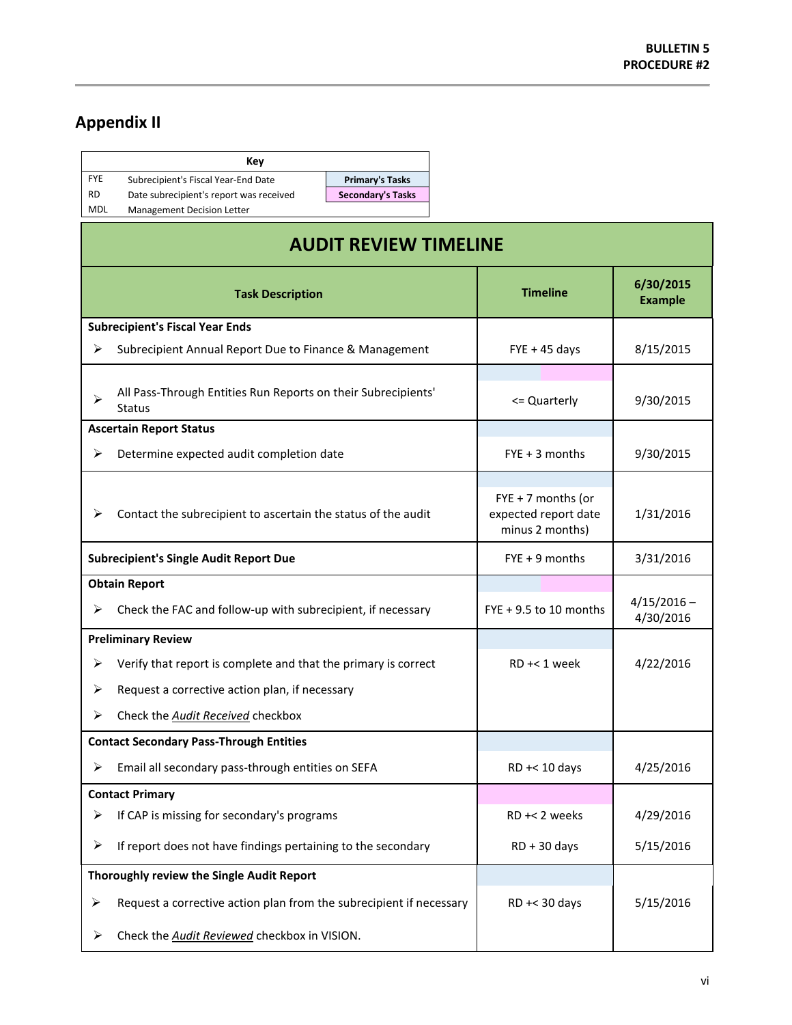# <span id="page-12-0"></span>**Appendix II**

|            | Key                                     |
|------------|-----------------------------------------|
| <b>FYF</b> | Subrecipient's Fiscal Year-End Date     |
| RD.        | Date subrecipient's report was received |

MDL Management Decision Letter

Primary's Tasks **Secondary's Tasks** 

| <b>AUDIT REVIEW TIMELINE</b> |                                                                                |                                                                 |                             |
|------------------------------|--------------------------------------------------------------------------------|-----------------------------------------------------------------|-----------------------------|
|                              | <b>Task Description</b>                                                        | <b>Timeline</b>                                                 | 6/30/2015<br><b>Example</b> |
|                              | <b>Subrecipient's Fiscal Year Ends</b>                                         |                                                                 |                             |
| ⋗                            | Subrecipient Annual Report Due to Finance & Management                         | $FYE + 45$ days                                                 | 8/15/2015                   |
| ↘                            | All Pass-Through Entities Run Reports on their Subrecipients'<br><b>Status</b> | <= Quarterly                                                    | 9/30/2015                   |
|                              | <b>Ascertain Report Status</b>                                                 |                                                                 |                             |
| ≻                            | Determine expected audit completion date                                       | $FYE + 3$ months                                                | 9/30/2015                   |
| ⋗                            | Contact the subrecipient to ascertain the status of the audit                  | $FYE + 7$ months (or<br>expected report date<br>minus 2 months) | 1/31/2016                   |
|                              | <b>Subrecipient's Single Audit Report Due</b>                                  | $FYE + 9$ months                                                | 3/31/2016                   |
|                              | <b>Obtain Report</b>                                                           |                                                                 |                             |
| ⋗                            | Check the FAC and follow-up with subrecipient, if necessary                    | $FYE + 9.5$ to 10 months                                        | $4/15/2016 -$<br>4/30/2016  |
|                              | <b>Preliminary Review</b>                                                      |                                                                 |                             |
| ⋗                            | Verify that report is complete and that the primary is correct                 | $RD + < 1$ week                                                 | 4/22/2016                   |
| ⋗                            | Request a corrective action plan, if necessary                                 |                                                                 |                             |
| ≻                            | Check the Audit Received checkbox                                              |                                                                 |                             |
|                              | <b>Contact Secondary Pass-Through Entities</b>                                 |                                                                 |                             |
| ⋗                            | Email all secondary pass-through entities on SEFA                              | RD +< 10 days                                                   | 4/25/2016                   |
|                              | <b>Contact Primary</b>                                                         |                                                                 |                             |
| ⋗                            | If CAP is missing for secondary's programs                                     | RD +< 2 weeks                                                   | 4/29/2016                   |
| ➤                            | If report does not have findings pertaining to the secondary                   | $RD + 30$ days                                                  | 5/15/2016                   |
|                              | Thoroughly review the Single Audit Report                                      |                                                                 |                             |
| ➤                            | Request a corrective action plan from the subrecipient if necessary            | RD +< 30 days                                                   | 5/15/2016                   |
| ➤                            | Check the Audit Reviewed checkbox in VISION.                                   |                                                                 |                             |